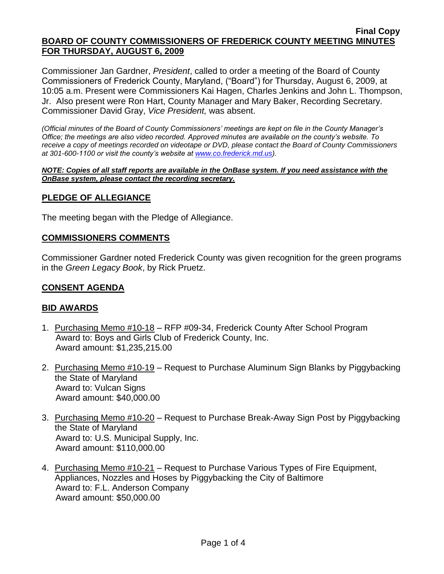Commissioner Jan Gardner, *President*, called to order a meeting of the Board of County Commissioners of Frederick County, Maryland, ("Board") for Thursday, August 6, 2009, at 10:05 a.m. Present were Commissioners Kai Hagen, Charles Jenkins and John L. Thompson, Jr. Also present were Ron Hart, County Manager and Mary Baker, Recording Secretary. Commissioner David Gray, *Vice President,* was absent.

*(Official minutes of the Board of County Commissioners' meetings are kept on file in the County Manager's Office; the meetings are also video recorded. Approved minutes are available on the county's website. To receive a copy of meetings recorded on videotape or DVD, please contact the Board of County Commissioners at 301-600-1100 or visit the county's website at [www.co.frederick.md.us\)](http://www.co.frederick.md.us/).*

#### *NOTE: Copies of all staff reports are available in the OnBase system. If you need assistance with the OnBase system, please contact the recording secretary.*

# **PLEDGE OF ALLEGIANCE**

The meeting began with the Pledge of Allegiance.

### **COMMISSIONERS COMMENTS**

Commissioner Gardner noted Frederick County was given recognition for the green programs in the *Green Legacy Book*, by Rick Pruetz.

### **CONSENT AGENDA**

# **BID AWARDS**

- 1. Purchasing Memo #10-18 RFP #09-34, Frederick County After School Program Award to: Boys and Girls Club of Frederick County, Inc. Award amount: \$1,235,215.00
- 2. Purchasing Memo #10-19 Request to Purchase Aluminum Sign Blanks by Piggybacking the State of Maryland Award to: Vulcan Signs Award amount: \$40,000.00
- 3. Purchasing Memo #10-20 Request to Purchase Break-Away Sign Post by Piggybacking the State of Maryland Award to: U.S. Municipal Supply, Inc. Award amount: \$110,000.00
- 4. Purchasing Memo #10-21 Request to Purchase Various Types of Fire Equipment, Appliances, Nozzles and Hoses by Piggybacking the City of Baltimore Award to: F.L. Anderson Company Award amount: \$50,000.00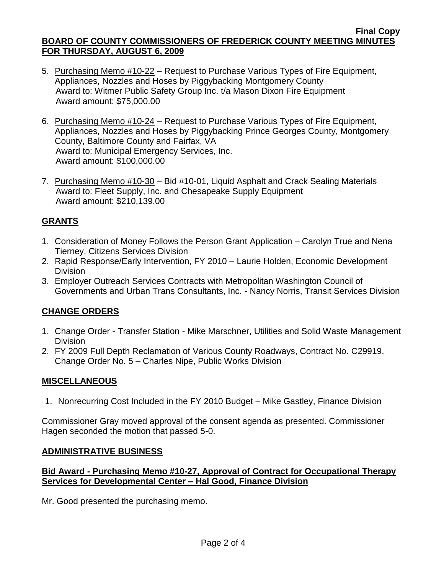- 5. Purchasing Memo #10-22 Request to Purchase Various Types of Fire Equipment, Appliances, Nozzles and Hoses by Piggybacking Montgomery County Award to: Witmer Public Safety Group Inc. t/a Mason Dixon Fire Equipment Award amount: \$75,000.00
- 6. Purchasing Memo #10-24 Request to Purchase Various Types of Fire Equipment, Appliances, Nozzles and Hoses by Piggybacking Prince Georges County, Montgomery County, Baltimore County and Fairfax, VA Award to: Municipal Emergency Services, Inc. Award amount: \$100,000.00
- 7. Purchasing Memo #10-30 Bid #10-01, Liquid Asphalt and Crack Sealing Materials Award to: Fleet Supply, Inc. and Chesapeake Supply Equipment Award amount: \$210,139.00

# **GRANTS**

- 1. Consideration of Money Follows the Person Grant Application Carolyn True and Nena Tierney, Citizens Services Division
- 2. Rapid Response/Early Intervention, FY 2010 Laurie Holden, Economic Development Division
- 3. Employer Outreach Services Contracts with Metropolitan Washington Council of Governments and Urban Trans Consultants, Inc. - Nancy Norris, Transit Services Division

# **CHANGE ORDERS**

- 1. Change Order Transfer Station Mike Marschner, Utilities and Solid Waste Management Division
- 2. FY 2009 Full Depth Reclamation of Various County Roadways, Contract No. C29919, Change Order No. 5 – Charles Nipe, Public Works Division

# **MISCELLANEOUS**

1. Nonrecurring Cost Included in the FY 2010 Budget – Mike Gastley, Finance Division

Commissioner Gray moved approval of the consent agenda as presented. Commissioner Hagen seconded the motion that passed 5-0.

# **ADMINISTRATIVE BUSINESS**

# **Bid Award - Purchasing Memo #10-27, Approval of Contract for Occupational Therapy Services for Developmental Center – Hal Good, Finance Division**

Mr. Good presented the purchasing memo.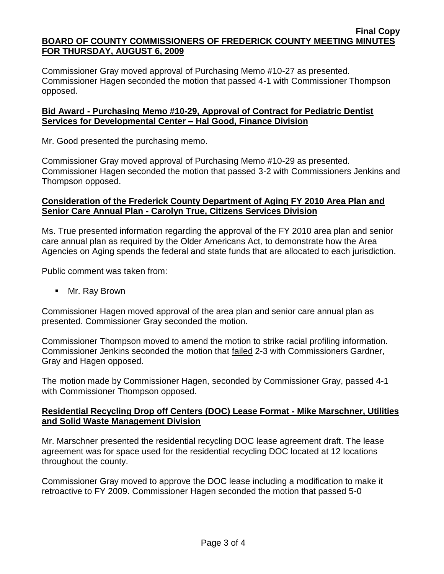Commissioner Gray moved approval of Purchasing Memo #10-27 as presented. Commissioner Hagen seconded the motion that passed 4-1 with Commissioner Thompson opposed.

# **Bid Award - Purchasing Memo #10-29, Approval of Contract for Pediatric Dentist Services for Developmental Center – Hal Good, Finance Division**

Mr. Good presented the purchasing memo.

Commissioner Gray moved approval of Purchasing Memo #10-29 as presented. Commissioner Hagen seconded the motion that passed 3-2 with Commissioners Jenkins and Thompson opposed.

# **Consideration of the Frederick County Department of Aging FY 2010 Area Plan and Senior Care Annual Plan - Carolyn True, Citizens Services Division**

Ms. True presented information regarding the approval of the FY 2010 area plan and senior care annual plan as required by the Older Americans Act, to demonstrate how the Area Agencies on Aging spends the federal and state funds that are allocated to each jurisdiction.

Public comment was taken from:

Mr. Ray Brown

Commissioner Hagen moved approval of the area plan and senior care annual plan as presented. Commissioner Gray seconded the motion.

Commissioner Thompson moved to amend the motion to strike racial profiling information. Commissioner Jenkins seconded the motion that failed 2-3 with Commissioners Gardner, Gray and Hagen opposed.

The motion made by Commissioner Hagen, seconded by Commissioner Gray, passed 4-1 with Commissioner Thompson opposed.

# **Residential Recycling Drop off Centers (DOC) Lease Format - Mike Marschner, Utilities and Solid Waste Management Division**

Mr. Marschner presented the residential recycling DOC lease agreement draft. The lease agreement was for space used for the residential recycling DOC located at 12 locations throughout the county.

Commissioner Gray moved to approve the DOC lease including a modification to make it retroactive to FY 2009. Commissioner Hagen seconded the motion that passed 5-0